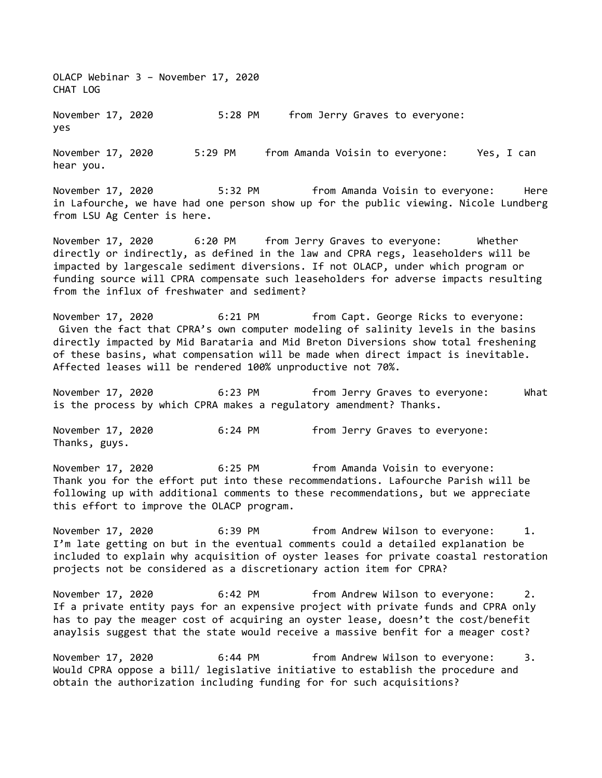OLACP Webinar 3 – November 17, 2020 CHAT LOG

November 17, 2020 5:28 PM from Jerry Graves to everyone: yes

November 17, 2020 5:29 PM from Amanda Voisin to everyone: Yes, I can hear you.

November 17, 2020 5:32 PM from Amanda Voisin to everyone: Here in Lafourche, we have had one person show up for the public viewing. Nicole Lundberg from LSU Ag Center is here.

November 17, 2020 6:20 PM from Jerry Graves to everyone: Whether directly or indirectly, as defined in the law and CPRA regs, leaseholders will be impacted by largescale sediment diversions. If not OLACP, under which program or funding source will CPRA compensate such leaseholders for adverse impacts resulting from the influx of freshwater and sediment?

November 17, 2020 6:21 PM from Capt. George Ricks to everyone: Given the fact that CPRA's own computer modeling of salinity levels in the basins directly impacted by Mid Barataria and Mid Breton Diversions show total freshening of these basins, what compensation will be made when direct impact is inevitable. Affected leases will be rendered 100% unproductive not 70%.

November 17, 2020 6:23 PM from Jerry Graves to everyone: What is the process by which CPRA makes a regulatory amendment? Thanks.

November 17, 2020 6:24 PM from Jerry Graves to everyone: Thanks, guys.

November 17, 2020 6:25 PM from Amanda Voisin to everyone: Thank you for the effort put into these recommendations. Lafourche Parish will be following up with additional comments to these recommendations, but we appreciate this effort to improve the OLACP program.

November 17, 2020 6:39 PM from Andrew Wilson to everyone: 1. I'm late getting on but in the eventual comments could a detailed explanation be included to explain why acquisition of oyster leases for private coastal restoration projects not be considered as a discretionary action item for CPRA?

November 17, 2020 6:42 PM from Andrew Wilson to everyone: 2. If a private entity pays for an expensive project with private funds and CPRA only has to pay the meager cost of acquiring an oyster lease, doesn't the cost/benefit anaylsis suggest that the state would receive a massive benfit for a meager cost?

November 17, 2020 6:44 PM from Andrew Wilson to everyone: 3. Would CPRA oppose a bill/ legislative initiative to establish the procedure and obtain the authorization including funding for for such acquisitions?